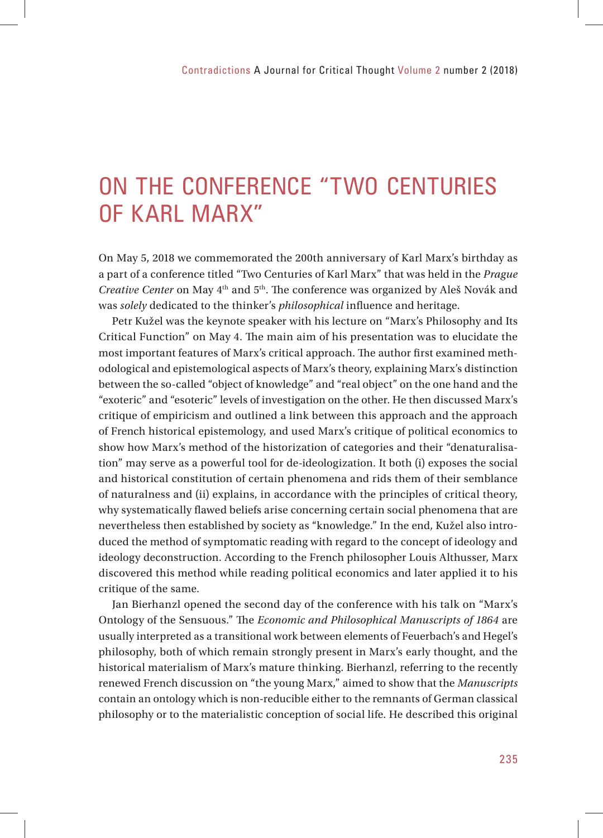## ON THE CONFERENCE "TWO CENTURIES OF KARL MARX"

On May 5, 2018 we commemorated the 200th anniversary of Karl Marx's birthday as a part of a conference titled "Two Centuries of Karl Marx" that was held in the *Prague Creative Center* on May 4<sup>th</sup> and 5<sup>th</sup>. The conference was organized by Aleš Novák and was *solely* dedicated to the thinker's *philosophical* influence and heritage.

Petr Kužel was the keynote speaker with his lecture on "Marx's Philosophy and Its Critical Function" on May 4. The main aim of his presentation was to elucidate the most important features of Marx's critical approach. The author first examined methodological and epistemological aspects of Marx's theory, explaining Marx's distinction between the so-called "object of knowledge" and "real object" on the one hand and the "exoteric" and "esoteric" levels of investigation on the other. He then discussed Marx's critique of empiricism and outlined a link between this approach and the approach of French historical epistemology, and used Marx's critique of political economics to show how Marx's method of the historization of categories and their "denaturalisation" may serve as a powerful tool for de-ideologization. It both (i) exposes the social and historical constitution of certain phenomena and rids them of their semblance of naturalness and (ii) explains, in accordance with the principles of critical theory, why systematically flawed beliefs arise concerning certain social phenomena that are nevertheless then established by society as "knowledge." In the end, Kužel also introduced the method of symptomatic reading with regard to the concept of ideology and ideology deconstruction. According to the French philosopher Louis Althusser, Marx discovered this method while reading political economics and later applied it to his critique of the same.

Jan Bierhanzl opened the second day of the conference with his talk on "Marx's Ontology of the Sensuous." The *Economic and Philosophical Manuscripts of 1864* are usually interpreted as a transitional work between elements of Feuerbach's and Hegel's philosophy, both of which remain strongly present in Marx's early thought, and the historical materialism of Marx's mature thinking. Bierhanzl, referring to the recently renewed French discussion on "the young Marx," aimed to show that the *Manuscripts* contain an ontology which is non-reducible either to the remnants of German classical philosophy or to the materialistic conception of social life. He described this original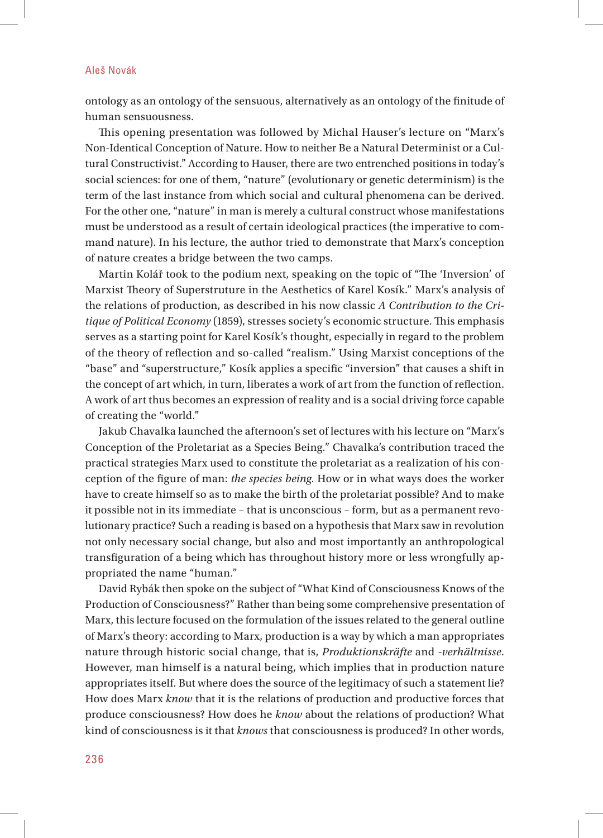## Aleš Novák

ontology as an ontology of the sensuous, alternatively as an ontology of the finitude of human sensuousness.

This opening presentation was followed by Michal Hauser's lecture on "Marx's" Non-Identical Conception of Nature. How to neither Be a Natural Determinist or a Cultural Constructivist." According to Hauser, there are two entrenched positions in today's social sciences: for one of them, "nature" (evolutionary or genetic determinism) is the term of the last instance from which social and cultural phenomena can be derived. For the other one, "nature" in man is merely a cultural construct whose manifestations must be understood as a result of certain ideological practices (the imperative to command nature). In his lecture, the author tried to demonstrate that Marx's conception of nature creates a bridge between the two camps.

Martin Kolář took to the podium next, speaking on the topic of "The 'Inversion' of Marxist Theory of Superstruture in the Aesthetics of Karel Kosík." Marx's analysis of the relations of production, as described in his now classic *A Contribution to the Critique of Political Economy* (1859), stresses society's economic structure. This emphasis serves as a starting point for Karel Kosík's thought, especially in regard to the problem of the theory of reflection and so-called "realism." Using Marxist conceptions of the "base" and "superstructure," Kosík applies a specific "inversion" that causes a shift in the concept of art which, in turn, liberates a work of art from the function of reflection. A work of art thus becomes an expression of reality and is a social driving force capable of creating the "world."

Jakub Chavalka launched the afternoon's set of lectures with his lecture on "Marx's Conception of the Proletariat as a Species Being." Chavalka's contribution traced the practical strategies Marx used to constitute the proletariat as a realization of his conception of the figure of man: *the species being*. How or in what ways does the worker have to create himself so as to make the birth of the proletariat possible? And to make it possible not in its immediate – that is unconscious – form, but as a permanent revolutionary practice? Such a reading is based on a hypothesis that Marx saw in revolution not only necessary social change, but also and most importantly an anthropological transfiguration of a being which has throughout history more or less wrongfully appropriated the name "human."

David Rybák then spoke on the subject of "What Kind of Consciousness Knows of the Production of Consciousness?" Rather than being some comprehensive presentation of Marx, this lecture focused on the formulation of the issues related to the general outline of Marx's theory: according to Marx, production is a way by which a man appropriates nature through historic social change, that is, *Produktionskräfte* and -*verhältnisse*. However, man himself is a natural being, which implies that in production nature appropriates itself. But where does the source of the legitimacy of such a statement lie? How does Marx *know* that it is the relations of production and productive forces that produce consciousness? How does he *know* about the relations of production? What kind of consciousness is it that *knows* that consciousness is produced? In other words,